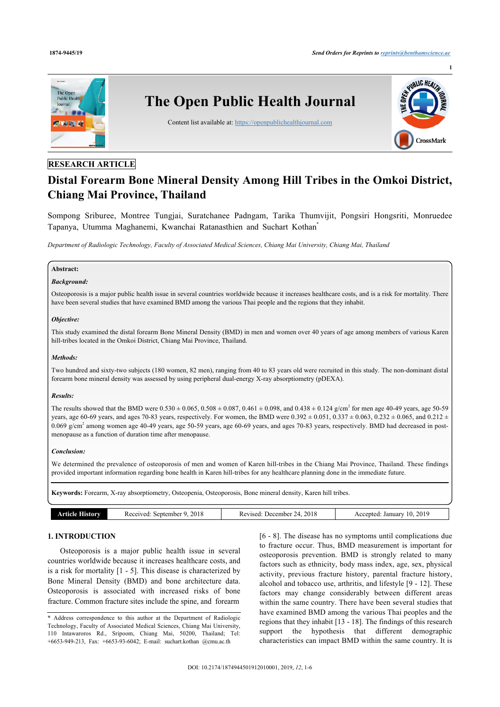

# **RESEARCH ARTICLE**

# **Distal Forearm Bone Mineral Density Among Hill Tribes in the Omkoi District, Chiang Mai Province, Thailand**

Sompong Sriburee, Montree Tungjai, Suratchanee Padngam, Tarika Thumvijit, Pongsiri Hongsriti, Monruedee Tapanya, Utumma Maghanemi, Kwanchai Ratanasthien and Suchart Kothan[\\*](#page-0-0)

*Department of Radiologic Technology, Faculty of Associated Medical Sciences, Chiang Mai University, Chiang Mai, Thailand*

# **Abstract:**

### *Background:*

Osteoporosis is a major public health issue in several countries worldwide because it increases healthcare costs, and is a risk for mortality. There have been several studies that have examined BMD among the various Thai people and the regions that they inhabit.

### *Objective:*

This study examined the distal forearm Bone Mineral Density (BMD) in men and women over 40 years of age among members of various Karen hill-tribes located in the Omkoi District, Chiang Mai Province, Thailand.

### *Methods:*

Two hundred and sixty-two subjects (180 women, 82 men), ranging from 40 to 83 years old were recruited in this study. The non-dominant distal forearm bone mineral density was assessed by using peripheral dual-energy X-ray absorptiometry (pDEXA).

# *Results:*

The results showed that the BMD were  $0.530 \pm 0.065$ ,  $0.508 \pm 0.087$ ,  $0.461 \pm 0.098$ , and  $0.438 \pm 0.124$  g/cm<sup>2</sup> for men age 40-49 years, age 50-59 years, age 60-69 years, and ages 70-83 years, respectively. For women, the BMD were 0.392  $\pm$  0.051, 0.337  $\pm$  0.063, 0.232  $\pm$  0.065, and 0.212  $\pm$  $0.069$  g/cm<sup>2</sup> among women age 40-49 years, age 50-59 years, age 60-69 years, and ages 70-83 years, respectively. BMD had decreased in postmenopause as a function of duration time after menopause.

### *Conclusion:*

We determined the prevalence of osteoporosis of men and women of Karen hill-tribes in the Chiang Mai Province, Thailand. These findings provided important information regarding bone health in Karen hill-tribes for any healthcare planning done in the immediate future.

**Keywords:** Forearm, X-ray absorptiometry, Osteopenia, Osteoporosis, Bone mineral density, Karen hill tribes.

| <b>Article History</b> | 2018<br>Received: September 9, | Revised: December 24, 2018 | Accepted: January 10, 2019 |
|------------------------|--------------------------------|----------------------------|----------------------------|
|                        |                                |                            |                            |

# **1. INTRODUCTION**

Osteoporosis is a major public health issue in several countries worldwide because it increases healthcare costs, and is a risk for mortality [\[1](#page-4-0) - [5\]](#page-4-1). This disease is characterized by Bone Mineral Density (BMD) and bone architecture data. Osteoporosis is associated with increased risks of bone fracture. Common fracture sites include the spine, and forearm

[[6](#page-4-2) - [8\]](#page-4-3). The disease has no symptoms until complications due to fracture occur. Thus, BMD measurement is important for osteoporosis prevention. BMD is strongly related to many factors such as ethnicity, body mass index, age, sex, physical activity, previous fracture history, parental fracture history, alcohol and tobacco use, arthritis, and lifestyle [[9](#page-4-4) - [12\]](#page-5-0). These factors may change considerably between different areas within the same country. There have been several studies that have examined BMD among the various Thai peoples and the regions that they inhabit [[13](#page-5-1) - [18\]](#page-5-2). The findings of this research support the hypothesis that different demographic characteristics can impact BMD within the same country. It is

<span id="page-0-0"></span><sup>\*</sup> Address correspondence to this author at the Department of Radiologic Technology, Faculty of Associated Medical Sciences, Chiang Mai University, 110 Intawaroros Rd., Sripoom, Chiang Mai, 50200, Thailand; Tel: +6653-949-213, Fax: +6653-93-6042; E-mail: [suchart.kothan @cmu.ac.th](mailto:suchart.kothan@cmu.ac.th)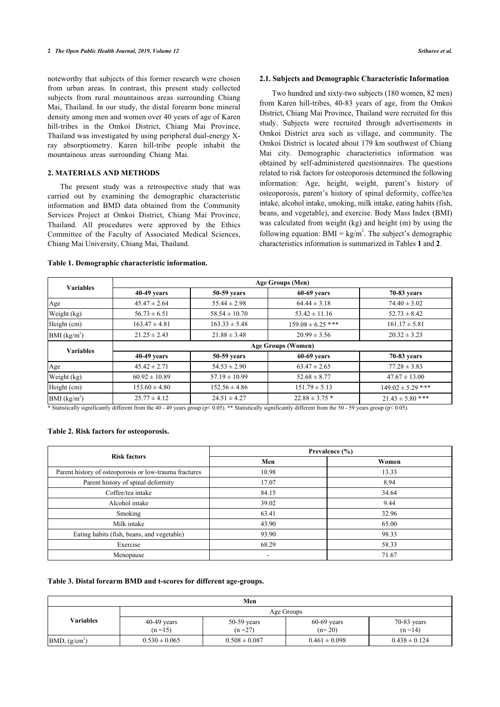noteworthy that subjects of this former research were chosen from urban areas. In contrast, this present study collected subjects from rural mountainous areas surrounding Chiang Mai, Thailand. In our study, the distal forearm bone mineral density among men and women over 40 years of age of Karen hill-tribes in the Omkoi District, Chiang Mai Province, Thailand was investigated by using peripheral dual-energy Xray absorptiometry. Karen hill-tribe people inhabit the mountainous areas surrounding Chiang Mai.

# **2. MATERIALS AND METHODS**

The present study was a retrospective study that was carried out by examining the demographic characteristic information and BMD data obtained from the Community Services Project at Omkoi District, Chiang Mai Province, Thailand. All procedures were approved by the Ethics Committee of the Faculty of Associated Medical Sciences, Chiang Mai University, Chiang Mai, Thailand.

# **2.1. Subjects and Demographic Characteristic Information**

Two hundred and sixty-two subjects (180 women, 82 men) from Karen hill-tribes, 40-83 years of age, from the Omkoi District, Chiang Mai Province, Thailand were recruited for this study. Subjects were recruited through advertisements in Omkoi District area such as village, and community. The Omkoi District is located about 179 km southwest of Chiang Mai city. Demographic characteristics information was obtained by self-administered questionnaires. The questions related to risk factors for osteoporosis determined the following information: Age, height, weight, parent's history of osteoporosis, parent's history of spinal deformity, coffee/tea intake, alcohol intake, smoking, milk intake, eating habits (fish, beans, and vegetable), and exercise. Body Mass Index (BMI) was calculated from weight (kg) and height (m) by using the following equation:  $BMI = kg/m<sup>2</sup>$ . The subject's d[em](#page-1-0)ogr[ap](#page-1-1)hic characteristics information is summarized in Tables **1** and **2**.

| <b>Variables</b> | Age Groups (Men)          |                   |                       |                       |
|------------------|---------------------------|-------------------|-----------------------|-----------------------|
|                  | $40-49$ years             | 50-59 years       | $60-69$ years         | 70-83 years           |
| Age              | $45.47 \pm 2.64$          | $55.44 \pm 2.98$  | $64.44 \pm 3.18$      | $74.40 \pm 3.02$      |
| Weight (kg)      | $56.73 \pm 6.51$          | $58.54 \pm 10.70$ | $53.42 \pm 11.16$     | $52.73 \pm 8.42$      |
| Height (cm)      | $163.47 \pm 4.81$         | $163.33 \pm 5.48$ | $159.08 \pm 6.25$ *** | $161.17 \pm 5.81$     |
| BMI $(kg/m2)$    | $21.25 \pm 2.43$          | $21.88 \pm 3.48$  | $20.99 \pm 3.56$      | $20.32 \pm 3.23$      |
| <b>Variables</b> | <b>Age Groups (Women)</b> |                   |                       |                       |
|                  | $40-49$ years             | 50-59 years       | $60-69$ years         | 70-83 years           |
| Age              | $45.42 \pm 2.71$          | $54.53 \pm 2.90$  | $63.47 \pm 2.65$      | $77.28 \pm 3.83$      |
| Weight (kg)      | $60.92 \pm 10.89$         | $57.19 \pm 10.99$ | $52.68 \pm 8.77$      | $47.67 \pm 13.00$     |
| Height (cm)      | $153.60 \pm 4.80$         | $152.56 \pm 4.86$ | $151.79 \pm 5.13$     | $149.02 \pm 5.29$ *** |
| BMI $(kg/m2)$    | $25.77 \pm 4.12$          | $24.51 \pm 4.27$  | $22.88 \pm 3.75$ *    | $21.43 \pm 5.80$ ***  |

### <span id="page-1-0"></span>**Table 1. Demographic characteristic information.**

\* Statistically significantly different from the 40 - 49 years group (p< 0.05). \*\* Statistically significantly different from the 50 - 59 years group (p< 0.05).

# <span id="page-1-1"></span>**Table 2. Risk factors for osteoporosis.**

| <b>Risk factors</b>                                    | Prevalence $(\% )$ |       |  |
|--------------------------------------------------------|--------------------|-------|--|
|                                                        | Men                | Women |  |
| Parent history of osteoporosis or low-trauma fractures | 10.98              | 13.33 |  |
| Parent history of spinal deformity                     | 17.07              | 8.94  |  |
| Coffee/tea intake                                      | 84.15              | 34.64 |  |
| Alcohol intake                                         | 39.02              | 9.44  |  |
| Smoking                                                | 63.41              | 32.96 |  |
| Milk intake                                            | 43.90              | 65.00 |  |
| Eating habits (fish, beans, and vegetable)             | 93.90              | 98.33 |  |
| Exercise                                               | 68.29              | 58.33 |  |
| Menopause                                              |                    | 71.67 |  |

# <span id="page-1-2"></span>**Table 3. Distal forearm BMD and t-scores for different age-groups.**

| Men               |                           |                           |                           |                           |
|-------------------|---------------------------|---------------------------|---------------------------|---------------------------|
| <b>Variables</b>  | Age Groups                |                           |                           |                           |
|                   | $40-49$ years<br>$(n=15)$ | $50-59$ years<br>$(n=27)$ | $60-69$ years<br>$(n=20)$ | $70-83$ years<br>$(n=14)$ |
| $BMD$ , $(g/cm2)$ | $0.530 \pm 0.065$         | $0.508 \pm 0.087$         | $0.461 \pm 0.098$         | $0.438 \pm 0.124$         |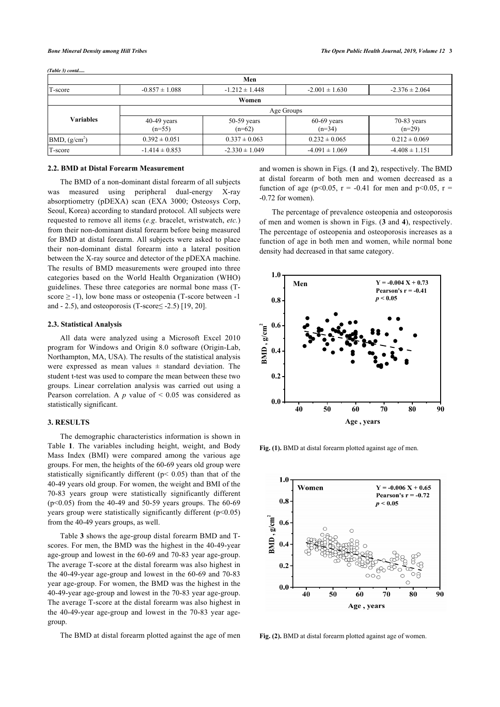*(Table 3) contd.....*

| Men                       |                           |                           |                           |                           |
|---------------------------|---------------------------|---------------------------|---------------------------|---------------------------|
| T-score                   | $-0.857 \pm 1.088$        | $-1.212 \pm 1.448$        | $-2.001 \pm 1.630$        | $-2.376 \pm 2.064$        |
|                           |                           | Women                     |                           |                           |
|                           | Age Groups                |                           |                           |                           |
| Variables                 | $40-49$ years<br>$(n=55)$ | $50-59$ years<br>$(n=62)$ | $60-69$ years<br>$(n=34)$ | $70-83$ years<br>$(n=29)$ |
| BMD, (g/cm <sup>2</sup> ) | $0.392 \pm 0.051$         | $0.337 \pm 0.063$         | $0.232 \pm 0.065$         | $0.212 \pm 0.069$         |
| T-score                   | $-1.414 \pm 0.853$        | $-2.330 \pm 1.049$        | $-4.091 \pm 1.069$        | $-4.408 \pm 1.151$        |

### **2.2. BMD at Distal Forearm Measurement**

The BMD of a non-dominant distal forearm of all subjects was measured using peripheral dual-energy X-ray absorptiometry (pDEXA) scan (EXA 3000; Osteosys Corp, Seoul, Korea) according to standard protocol. All subjects were requested to remove all items (*e.g*. bracelet, wristwatch, *etc.*) from their non-dominant distal forearm before being measured for BMD at distal forearm. All subjects were asked to place their non-dominant distal forearm into a lateral position between the X-ray source and detector of the pDEXA machine. The results of BMD measurements were grouped into three categories based on the World Health Organization (WHO) guidelines. These three categories are normal bone mass (Tscore  $\ge$  -1), low bone mass or osteopenia (T-score between -1) and  $- 2.5$ ), and osteoporosis (T-score $\leq -2.5$ ) [[19,](#page-5-3) [20](#page-5-1)].

# <span id="page-2-0"></span>**2.3. Statistical Analysis**

All data were analyzed using a Microsoft Excel 2010 program for Windows and Origin 8.0 software (Origin-Lab, Northampton, MA, USA). The results of the statistical analysis were expressed as mean values  $\pm$  standard deviation. The student t-test was used to compare the mean between these two groups. Linear correlation analysis was carried out using a Pearson correlation. A  $p$  value of  $\leq 0.05$  was considered as statistically significant.

# **3. RESULTS**

<span id="page-2-1"></span>The demographic characteristics information is shown in Table**1**. The variables including height, weight, and Body Mass Index (BMI) were compared among the various age groups. For men, the heights of the 60-69 years old group were statistically significantly different (p< 0.05) than that of the 40-49 years old group. For women, the weight and BMI of the 70-83 years group were statistically significantly different (p<0.05) from the 40-49 and 50-59 years groups. The 60-69 years group were statistically significantly different (p<0.05) from the 40-49 years groups, as well.

Table **[3](#page-1-2)** shows the age-group distal forearm BMD and Tscores. For men, the BMD was the highest in the 40-49-year age-group and lowest in the 60-69 and 70-83 year age-group. The average T-score at the distal forearm was also highest in the 40-49-year age-group and lowest in the 60-69 and 70-83 year age-group. For women, the BMD was the highest in the 40-49-year age-group and lowest in the 70-83 year age-group. The average T-score at the distal forearm was also highest in the 40-49-year age-group and lowest in the 70-83 year agegroup.

<span id="page-2-2"></span>The BMD at distal forearm plotted against the age of men

and women is shown in Figs. (**[1](#page-2-0)** and **[2](#page-2-1)**), respectively. The BMD at distal forearm of both men and women decreased as a function of age (p<0.05, r = -0.41 for men and p<0.05, r = -0.72 for women).

The percentage of prevalence osteopenia and osteoporosis of men and women is shown in Figs. (**[3](#page-2-2)** and **[4](#page-3-0)**), respectively. The percentage of osteopenia and osteoporosis increases as a function of age in both men and women, while normal bone density had decreased in that same category.



Fig. (1). BMD at distal forearm plotted against age of men.



**Fig. (2).** BMD at distal forearm plotted against age of women.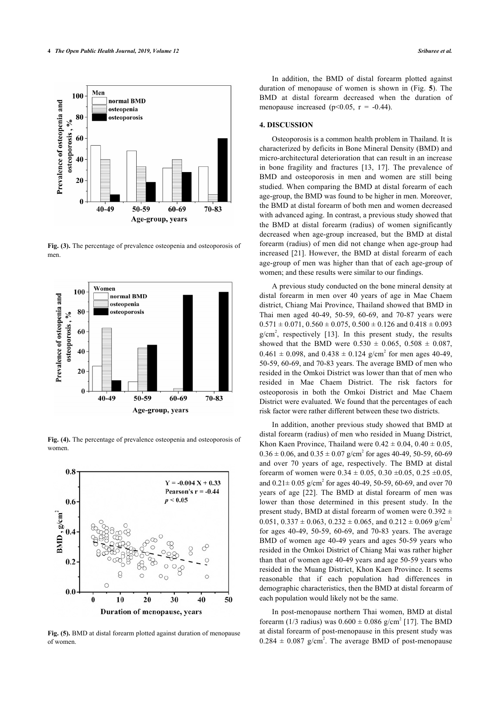

**Fig. (3).** The percentage of prevalence osteopenia and osteoporosis of men.

<span id="page-3-0"></span>

**Fig. (4).** The percentage of prevalence osteopenia and osteoporosis of women.

<span id="page-3-1"></span>

**Fig. (5).** BMD at distal forearm plotted against duration of menopause of women.

In addition, the BMD of distal forearm plotted against duration of menopause of women is shown in (Fig.**5**). The BMD at distal forearm decreased when the duration of menopause increased ( $p<0.05$ ,  $r = -0.44$ ).

# **4. DISCUSSION**

Osteoporosis is a common health problem in Thailand. It is characterized by deficits in Bone Mineral Density (BMD) and micro-architectural deterioration that can result in an increase in bone fragility and fractures[[13,](#page-5-1) [17\]](#page-5-4). The prevalence of BMD and osteoporosis in men and women are still being studied. When comparing the BMD at distal forearm of each age-group, the BMD was found to be higher in men. Moreover, the BMD at distal forearm of both men and women decreased with advanced aging. In contrast, a previous study showed that the BMD at distal forearm (radius) of women significantly decreased when age-group increased, but the BMD at distal forearm (radius) of men did not change when age-group had increased [\[21](#page-5-5)]. However, the BMD at distal forearm of each age-group of men was higher than that of each age-group of women; and these results were similar to our findings.

A previous study conducted on the bone mineral density at distal forearm in men over 40 years of age in Mae Chaem district, Chiang Mai Province, Thailand showed that BMD in Thai men aged 40-49, 50-59, 60-69, and 70-87 years were  $0.571 \pm 0.071$ ,  $0.560 \pm 0.075$ ,  $0.500 \pm 0.126$  and  $0.418 \pm 0.093$  $g/cm<sup>2</sup>$ ,respectively [[13\]](#page-5-1). In this present study, the results showed that the BMD were  $0.530 \pm 0.065$ ,  $0.508 \pm 0.087$ ,  $0.461 \pm 0.098$ , and  $0.438 \pm 0.124$  g/cm<sup>2</sup> for men ages 40-49, 50-59, 60-69, and 70-83 years. The average BMD of men who resided in the Omkoi District was lower than that of men who resided in Mae Chaem District. The risk factors for osteoporosis in both the Omkoi District and Mae Chaem District were evaluated. We found that the percentages of each risk factor were rather different between these two districts.

In addition, another previous study showed that BMD at distal forearm (radius) of men who resided in Muang District, Khon Kaen Province, Thailand were  $0.42 \pm 0.04$ ,  $0.40 \pm 0.05$ ,  $0.36 \pm 0.06$ , and  $0.35 \pm 0.07$  g/cm<sup>2</sup> for ages 40-49, 50-59, 60-69 and over 70 years of age, respectively. The BMD at distal forearm of women were  $0.34 \pm 0.05$ ,  $0.30 \pm 0.05$ ,  $0.25 \pm 0.05$ , and  $0.21 \pm 0.05$  g/cm<sup>2</sup> for ages 40-49, 50-59, 60-69, and over 70 years of age[[22](#page-5-6)]. The BMD at distal forearm of men was lower than those determined in this present study. In the present study, BMD at distal forearm of women were  $0.392 \pm$ 0.051, 0.337  $\pm$  0.063, 0.232  $\pm$  0.065, and 0.212  $\pm$  0.069 g/cm<sup>2</sup> for ages 40-49, 50-59, 60-69, and 70-83 years. The average BMD of women age 40-49 years and ages 50-59 years who resided in the Omkoi District of Chiang Mai was rather higher than that of women age 40-49 years and age 50-59 years who resided in the Muang District, Khon Kaen Province. It seems reasonable that if each population had differences in demographic characteristics, then the BMD at distal forearm of each population would likely not be the same.

In post-menopause northern Thai women, BMD at distal forearm (1/3 radius) was  $0.600 \pm 0.086$  g/cm<sup>2</sup> [[17](#page-5-4)]. The BMD at distal forearm of post-menopause in this present study was  $0.284 \pm 0.087$  g/cm<sup>2</sup>. The average BMD of post-menopause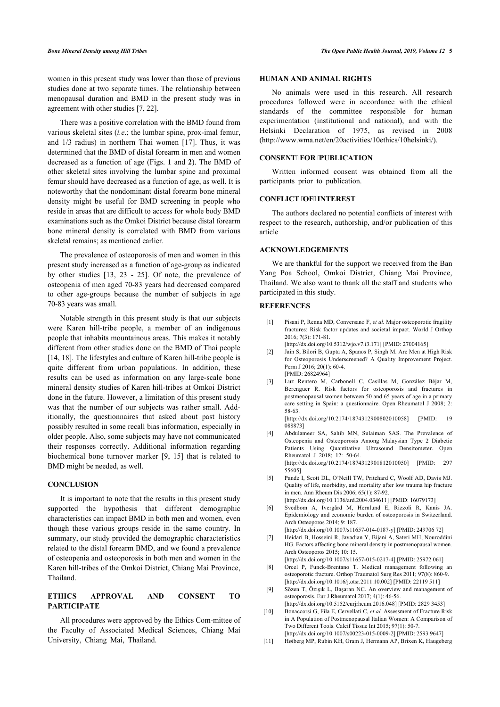women in this present study was lower than those of previous studies done at two separate times. The relationship between menopausal duration and BMD in the present study was in agreement with other studies [[7](#page-4-5), [22\]](#page-5-6).

There was a positive correlation with the BMD found from various skeletal sites (*i.e*.; the lumbar spine, prox-imal femur, and 1/3 radius) in northern Thai women[[17](#page-5-4)]. Thus, it was determined that the BMD of distal forearm in men and women decreased as a function of age (Figs. **[1](#page-2-0)** and **[2](#page-2-1)**). The BMD of other skeletal sites involving the lumbar spine and proximal femur should have decreased as a function of age, as well. It is noteworthy that the nondominant distal forearm bone mineral density might be useful for BMD screening in people who reside in areas that are difficult to access for whole body BMD examinations such as the Omkoi District because distal forearm bone mineral density is correlated with BMD from various skeletal remains; as mentioned earlier.

The prevalence of osteoporosis of men and women in this present study increased as a function of age-group as indicated by other studies[[13,](#page-5-1) [23](#page-5-7) - [25\]](#page-5-8). Of note, the prevalence of osteopenia of men aged 70-83 years had decreased compared to other age-groups because the number of subjects in age 70-83 years was small.

<span id="page-4-0"></span>Notable strength in this present study is that our subjects were Karen hill-tribe people, a member of an indigenous people that inhabits mountainous areas. This makes it notably different from other studies done on the BMD of Thai people [[14,](#page-5-9) [18\]](#page-5-2). The lifestyles and culture of Karen hill-tribe people is quite different from urban populations. In addition, these results can be used as information on any large-scale bone mineral density studies of Karen hill-tribes at Omkoi District done in the future. However, a limitation of this present study was that the number of our subjects was rather small. Additionally, the questionnaires that asked about past history possibly resulted in some recall bias information, especially in older people. Also, some subjects may have not communicated their responses correctly. Additional information regarding biochemical bone turnover marker [\[9](#page-4-4), [15](#page-5-10)] that is related to BMD might be needed, as well.

# <span id="page-4-1"></span>**CONCLUSION**

<span id="page-4-5"></span><span id="page-4-2"></span>It is important to note that the results in this present study supported the hypothesis that different demographic characteristics can impact BMD in both men and women, even though these various groups reside in the same country. In summary, our study provided the demographic characteristics related to the distal forearm BMD, and we found a prevalence of osteopenia and osteoporosis in both men and women in the Karen hill-tribes of the Omkoi District, Chiang Mai Province, Thailand.

# <span id="page-4-4"></span><span id="page-4-3"></span>**ETHICS APPROVAL AND CONSENT TO PARTICIPATE**

All procedures were approved by the Ethics Com-mittee of the Faculty of Associated Medical Sciences, Chiang Mai University, Chiang Mai, Thailand.

# **HUMAN AND ANIMAL RIGHTS**

No animals were used in this research. All research procedures followed were in accordance with the ethical standards of the committee responsible for human experimentation (institutional and national), and with the Helsinki Declaration of 1975, as revised in 2008 ([http://www.wma.net/en/20activities/10ethics/10helsinki/\)](http://www.wma.net/en/20activities/10ethics/10helsinki/).

# **CONSENT FOR PUBLICATION**

Written informed consent was obtained from all the participants prior to publication.

# **CONFLICT OF INTEREST**

The authors declared no potential conflicts of interest with respect to the research, authorship, and/or publication of this article

# **ACKNOWLEDGEMENTS**

We are thankful for the support we received from the Ban Yang Poa School, Omkoi District, Chiang Mai Province, Thailand. We also want to thank all the staff and students who participated in this study.

### **REFERENCES**

- [1] Pisani P, Renna MD, Conversano F, *et al.* Major osteoporotic fragility fractures: Risk factor updates and societal impact. World J Orthop 2016; 7(3): 171-81. [\[http://dx.doi.org/10.5312/wjo.v7.i3.171](http://dx.doi.org/10.5312/wjo.v7.i3.171)] [PMID: [27004165\]](http://www.ncbi.nlm.nih.gov/pubmed/27004165)
- [2] Jain S, Bilori B, Gupta A, Spanos P, Singh M. Are Men at High Risk for Osteoporosis Underscreened? A Quality Improvement Project. Perm J 2016; 20(1): 60-4. [PMID: [26824964\]](http://www.ncbi.nlm.nih.gov/pubmed/26824964)
- [3] Luz Rentero M, Carbonell C, Casillas M, González Béjar M, Berenguer R. Risk factors for osteoporosis and fractures in postmenopausal women between 50 and 65 years of age in a primary care setting in Spain: a questionnaire. Open Rheumatol J 2008; 2: 58-63.

[\[http://dx.doi.org/10.2174/1874312900802010058\]](http://dx.doi.org/10.2174/1874312900802010058) [PMID: [19](http://www.ncbi.nlm.nih.gov/pubmed/19%20088873) [088873\]](http://www.ncbi.nlm.nih.gov/pubmed/19%20088873)

- [4] Abdulameer SA, Sahib MN, Sulaiman SAS. The Prevalence of Osteopenia and Osteoporosis Among Malaysian Type 2 Diabetic Patients Using Quantitative Ultrasound Densitometer. Open Rheumatol J 2018; 12: 50-64. [\[http://dx.doi.org/10.2174/1874312901812010050\]](http://dx.doi.org/10.2174/1874312901812010050) [PMID: [297](http://www.ncbi.nlm.nih.gov/pubmed/297%2055605) [55605](http://www.ncbi.nlm.nih.gov/pubmed/297%2055605)]
- [5] Pande I, Scott DL, O'Neill TW, Pritchard C, Woolf AD, Davis MJ. Quality of life, morbidity, and mortality after low trauma hip fracture in men. Ann Rheum Dis 2006; 65(1): 87-92. [\[http://dx.doi.org/10.1136/ard.2004.034611\]](http://dx.doi.org/10.1136/ard.2004.034611) [PMID: [16079173\]](http://www.ncbi.nlm.nih.gov/pubmed/16079173)
- [6] Svedbom A, Ivergård M, Hernlund E, Rizzoli R, Kanis JA. Epidemiology and economic burden of osteoporosis in Switzerland. Arch Osteoporos 2014; 9: 187.
- [\[http://dx.doi.org/10.1007/s11657-014-0187-y\]](http://dx.doi.org/10.1007/s11657-014-0187-y) [PMID: [249706 72](http://www.ncbi.nlm.nih.gov/pubmed/249706%2072)] [7] Heidari B, Hosseini R, Javadian Y, Bijani A, Sateri MH, Nouroddini HG. Factors affecting bone mineral density in postmenopausal women. Arch Osteoporos 2015; 10: 15.
- [\[http://dx.doi.org/10.1007/s11657-015-0217-4\]](http://dx.doi.org/10.1007/s11657-015-0217-4) [PMID: [25972 061](http://www.ncbi.nlm.nih.gov/pubmed/25972%20061)] [8] Orcel P, Funck-Brentano T. Medical management following an osteoporotic fracture. Orthop Traumatol Surg Res 2011; 97(8): 860-9. [\[http://dx.doi.org/10.1016/j.otsr.2011.10.002](http://dx.doi.org/10.1016/j.otsr.2011.10.002)] [PMID: [22119 511\]](http://www.ncbi.nlm.nih.gov/pubmed/22119%20511)
- [9] Sözen T, Özışık L, Başaran NC. An overview and management of osteoporosis. Eur J Rheumatol 2017; 4(1): 46-56.
- [\[http://dx.doi.org/10.5152/eurjrheum.2016.048](http://dx.doi.org/10.5152/eurjrheum.2016.048)] [PMID: [2829 3453\]](http://www.ncbi.nlm.nih.gov/pubmed/2829%203453) [10] Bonaccorsi G, Fila E, Cervellati C, *et al.* Assessment of Fracture Risk in A Population of Postmenopausal Italian Women: A Comparison of Two Different Tools. Calcif Tissue Int 2015; 97(1): 50-7. [\[http://dx.doi.org/10.1007/s00223-015-0009-2\]](http://dx.doi.org/10.1007/s00223-015-0009-2) [PMID: [2593 9647](http://www.ncbi.nlm.nih.gov/pubmed/2593%209647)]
- [11] Høiberg MP, Rubin KH, Gram J, Hermann AP, Brixen K, Haugeberg